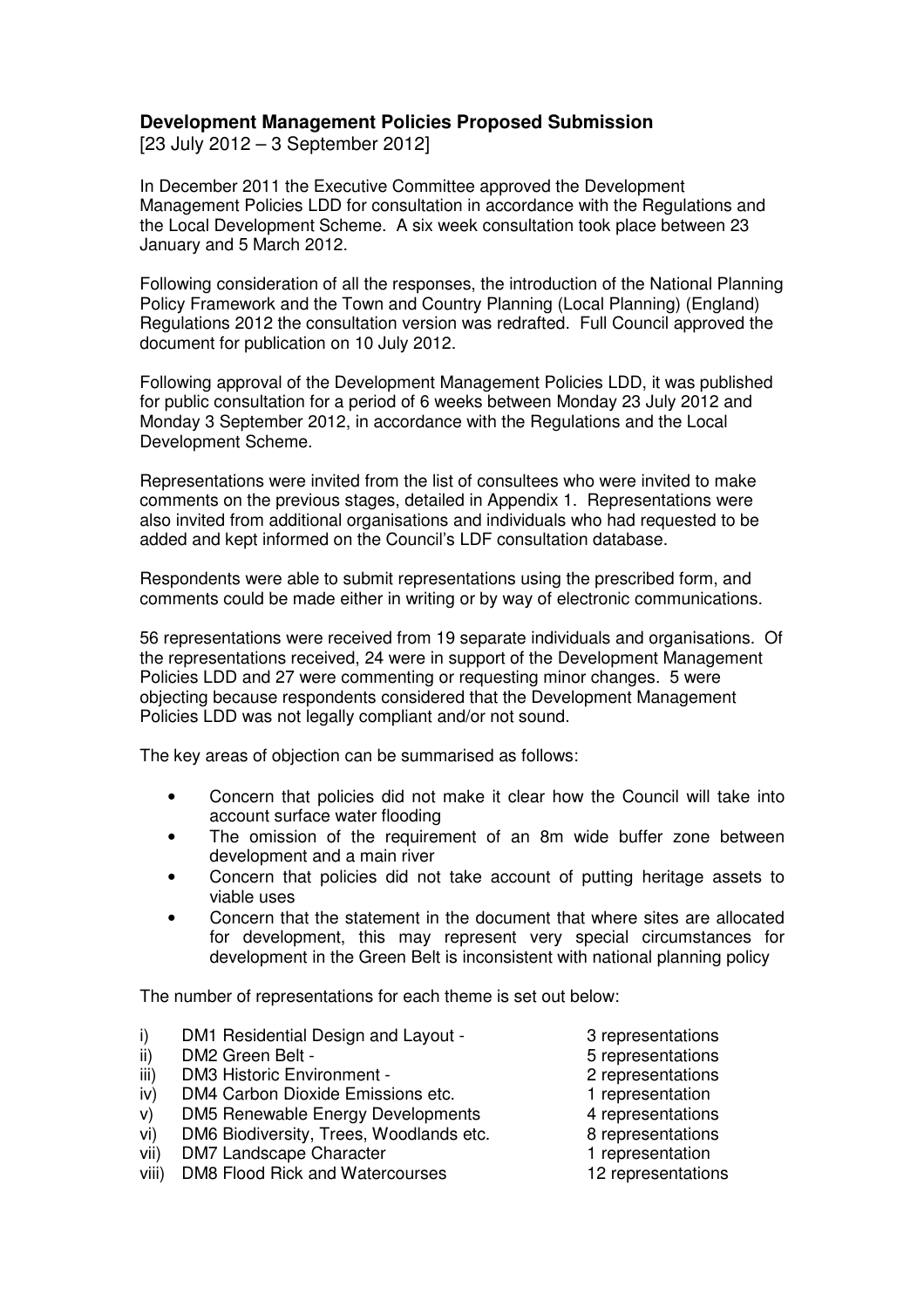## **Development Management Policies Proposed Submission**

[23 July 2012 – 3 September 2012]

In December 2011 the Executive Committee approved the Development Management Policies LDD for consultation in accordance with the Regulations and the Local Development Scheme. A six week consultation took place between 23 January and 5 March 2012.

Following consideration of all the responses, the introduction of the National Planning Policy Framework and the Town and Country Planning (Local Planning) (England) Regulations 2012 the consultation version was redrafted. Full Council approved the document for publication on 10 July 2012.

Following approval of the Development Management Policies LDD, it was published for public consultation for a period of 6 weeks between Monday 23 July 2012 and Monday 3 September 2012, in accordance with the Regulations and the Local Development Scheme.

Representations were invited from the list of consultees who were invited to make comments on the previous stages, detailed in Appendix 1. Representations were also invited from additional organisations and individuals who had requested to be added and kept informed on the Council's LDF consultation database.

Respondents were able to submit representations using the prescribed form, and comments could be made either in writing or by way of electronic communications.

56 representations were received from 19 separate individuals and organisations. Of the representations received, 24 were in support of the Development Management Policies LDD and 27 were commenting or requesting minor changes. 5 were objecting because respondents considered that the Development Management Policies LDD was not legally compliant and/or not sound.

The key areas of objection can be summarised as follows:

- Concern that policies did not make it clear how the Council will take into account surface water flooding
- The omission of the requirement of an 8m wide buffer zone between development and a main river
- Concern that policies did not take account of putting heritage assets to viable uses
- Concern that the statement in the document that where sites are allocated for development, this may represent very special circumstances for development in the Green Belt is inconsistent with national planning policy

The number of representations for each theme is set out below:

- i) DM1 Residential Design and Layout 3 representations
- ii) DM2 Green Belt 5 representations
- iii) DM3 Historic Environment 2 representations
- iv) DM4 Carbon Dioxide Emissions etc. 1 representation
- v) DM5 Renewable Energy Developments 4 representations
- vi) DM6 Biodiversity, Trees, Woodlands etc. 8 representations
- vii) DM7 Landscape Character 1 **1** representation
- viii) DM8 Flood Rick and Watercourses 12 representations
- -
	-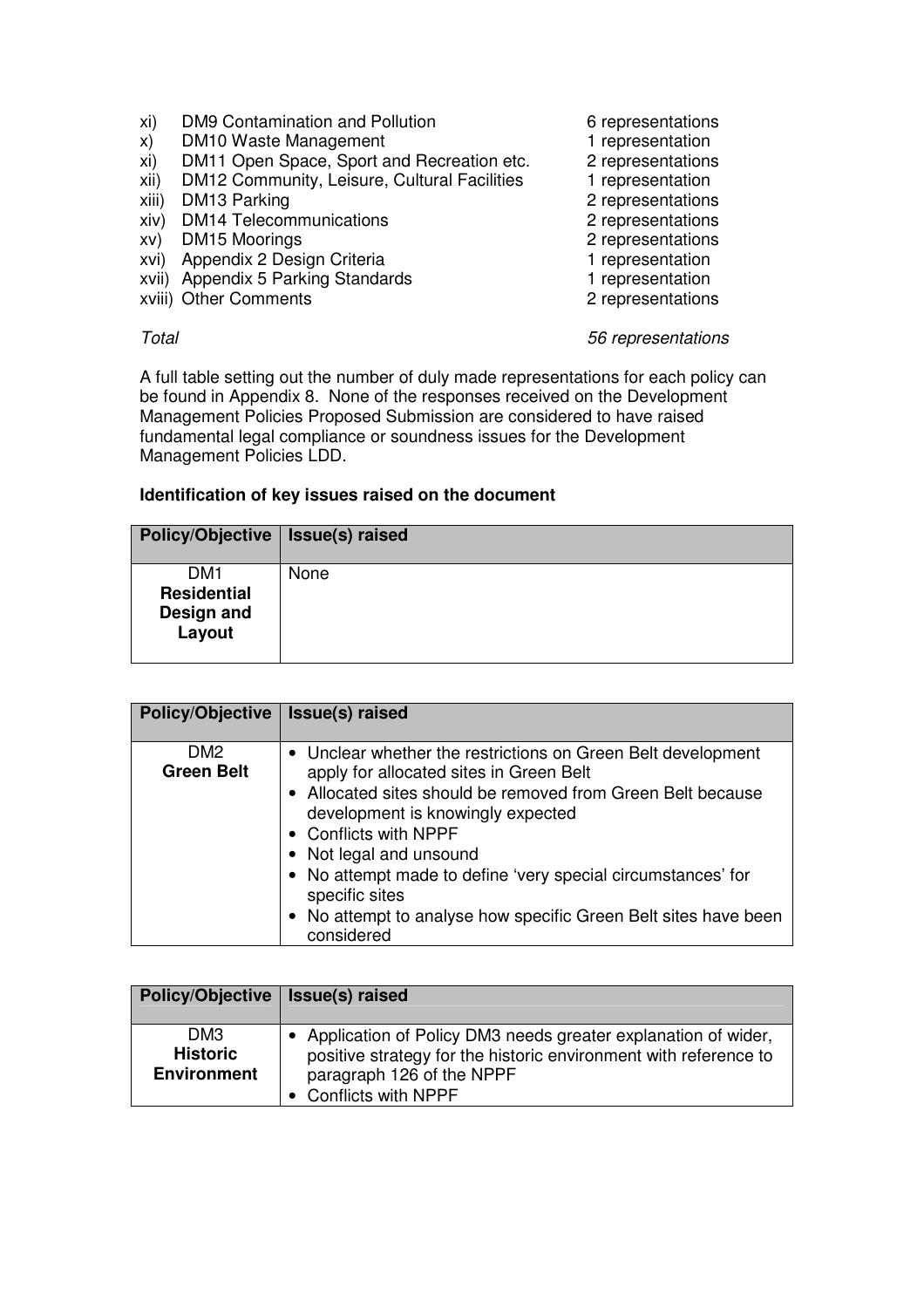- xi) DM9 Contamination and Pollution 6 representations
- x) DM10 Waste Management 1 representation
- 
- xi) DM11 Open Space, Sport and Recreation etc. 2 representations<br>
xii) DM12 Community, Leisure, Cultural Facilities 1 representation xii) DM12 Community, Leisure, Cultural Facilities
- xiii) DM13 Parking 2 representations
- xiv) DM14 Telecommunications 2 representations
- xv) DM15 Moorings 2 representations
- xvi) Appendix 2 Design Criteria 1 representation
- xvii) Appendix 5 Parking Standards 1 representation
- xviii) Other Comments 2 representations

- 
- 
- 
- 
- 
- 
- 
- 
- 

## Total 56 representations

A full table setting out the number of duly made representations for each policy can be found in Appendix 8. None of the responses received on the Development Management Policies Proposed Submission are considered to have raised fundamental legal compliance or soundness issues for the Development Management Policies LDD.

## **Identification of key issues raised on the document**

| <b>Policy/Objective</b>                                       | Issue(s) raised |
|---------------------------------------------------------------|-----------------|
| DM <sub>1</sub><br><b>Residential</b><br>Design and<br>Layout | None            |

| <b>Policy/Objective</b>              | Issue(s) raised                                                                                                                                                                                                     |
|--------------------------------------|---------------------------------------------------------------------------------------------------------------------------------------------------------------------------------------------------------------------|
| DM <sub>2</sub><br><b>Green Belt</b> | • Unclear whether the restrictions on Green Belt development<br>apply for allocated sites in Green Belt<br>• Allocated sites should be removed from Green Belt because<br>development is knowingly expected         |
|                                      | • Conflicts with NPPF<br>• Not legal and unsound<br>• No attempt made to define 'very special circumstances' for<br>specific sites<br>• No attempt to analyse how specific Green Belt sites have been<br>considered |

| <b>Policy/Objective</b>                                  | <b>Issue(s)</b> raised                                                                                                                                                                    |
|----------------------------------------------------------|-------------------------------------------------------------------------------------------------------------------------------------------------------------------------------------------|
| DM <sub>3</sub><br><b>Historic</b><br><b>Environment</b> | • Application of Policy DM3 needs greater explanation of wider,<br>positive strategy for the historic environment with reference to<br>paragraph 126 of the NPPF<br>• Conflicts with NPPF |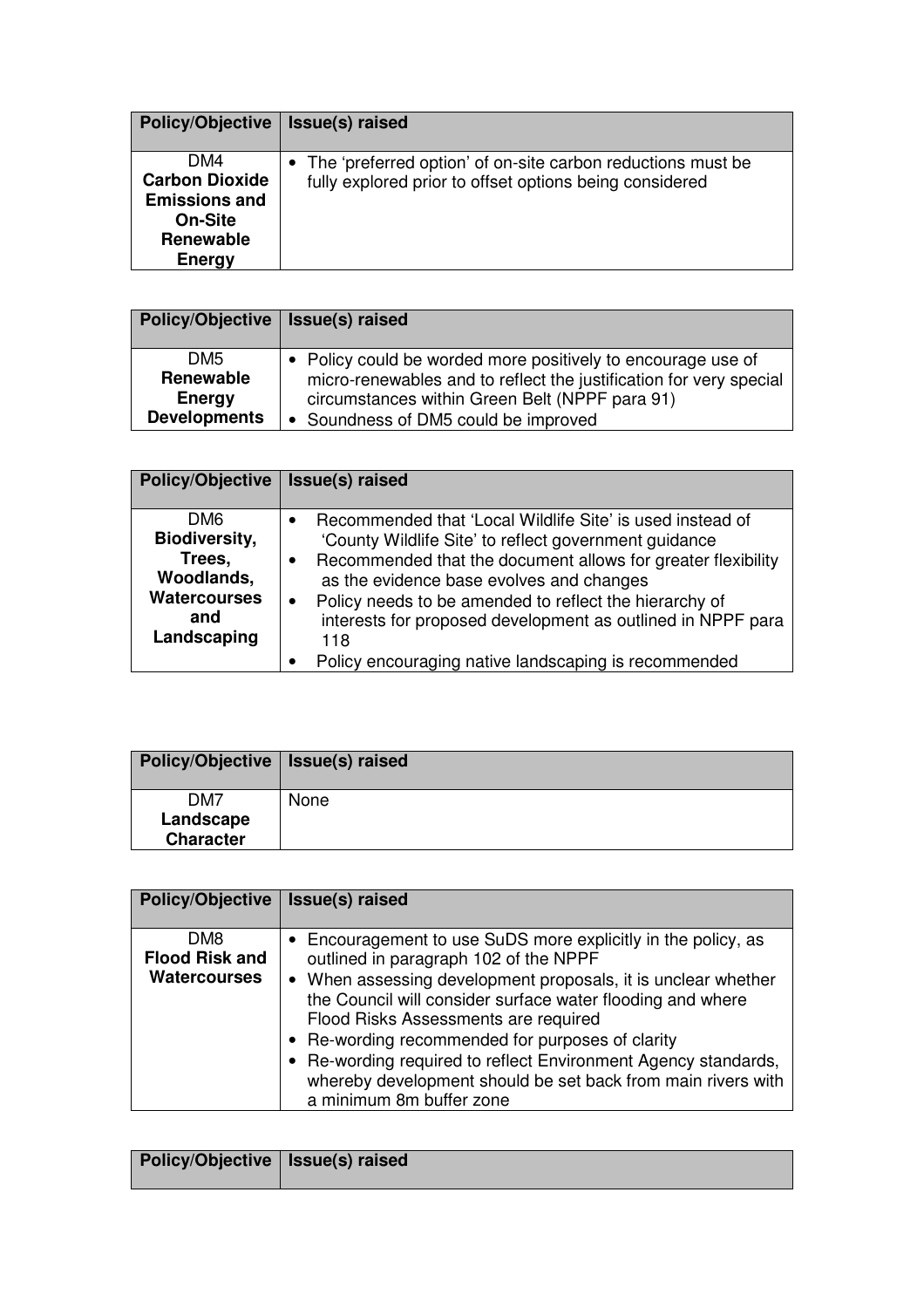| <b>Policy/Objective</b>                                                                              | Issue(s) raised                                                                                                          |
|------------------------------------------------------------------------------------------------------|--------------------------------------------------------------------------------------------------------------------------|
| DM4<br><b>Carbon Dioxide</b><br><b>Emissions and</b><br><b>On-Site</b><br><b>Renewable</b><br>Energy | • The 'preferred option' of on-site carbon reductions must be<br>fully explored prior to offset options being considered |

| <b>Policy/Objective</b> | Issue(s) raised                                                    |
|-------------------------|--------------------------------------------------------------------|
|                         |                                                                    |
| DM <sub>5</sub>         | • Policy could be worded more positively to encourage use of       |
| Renewable               | micro-renewables and to reflect the justification for very special |
| Energy                  | circumstances within Green Belt (NPPF para 91)                     |
| <b>Developments</b>     | • Soundness of DM5 could be improved                               |

| <b>Policy/Objective</b>                                                                                      | Issue(s) raised                                                                                                                                                                                                                                                                                                                                                                  |
|--------------------------------------------------------------------------------------------------------------|----------------------------------------------------------------------------------------------------------------------------------------------------------------------------------------------------------------------------------------------------------------------------------------------------------------------------------------------------------------------------------|
| DM <sub>6</sub><br><b>Biodiversity,</b><br>Trees,<br>Woodlands,<br><b>Watercourses</b><br>and<br>Landscaping | Recommended that 'Local Wildlife Site' is used instead of<br>'County Wildlife Site' to reflect government guidance<br>Recommended that the document allows for greater flexibility<br>٠<br>as the evidence base evolves and changes<br>Policy needs to be amended to reflect the hierarchy of<br>$\bullet$<br>interests for proposed development as outlined in NPPF para<br>118 |
|                                                                                                              | Policy encouraging native landscaping is recommended                                                                                                                                                                                                                                                                                                                             |

| Policy/Objective   Issue(s) raised               |      |
|--------------------------------------------------|------|
| DM <sub>7</sub><br>Landscape<br><b>Character</b> | None |

| <b>Policy/Objective</b>                             | Issue(s) raised                                                                                                                                                                                                                                                                                                                                                                                                                                                                                 |
|-----------------------------------------------------|-------------------------------------------------------------------------------------------------------------------------------------------------------------------------------------------------------------------------------------------------------------------------------------------------------------------------------------------------------------------------------------------------------------------------------------------------------------------------------------------------|
| DM8<br><b>Flood Risk and</b><br><b>Watercourses</b> | • Encouragement to use SuDS more explicitly in the policy, as<br>outlined in paragraph 102 of the NPPF<br>• When assessing development proposals, it is unclear whether<br>the Council will consider surface water flooding and where<br>Flood Risks Assessments are required<br>• Re-wording recommended for purposes of clarity<br>• Re-wording required to reflect Environment Agency standards,<br>whereby development should be set back from main rivers with<br>a minimum 8m buffer zone |

| Policy/Objective   Issue(s) raised |  |
|------------------------------------|--|
|                                    |  |
|                                    |  |
|                                    |  |
|                                    |  |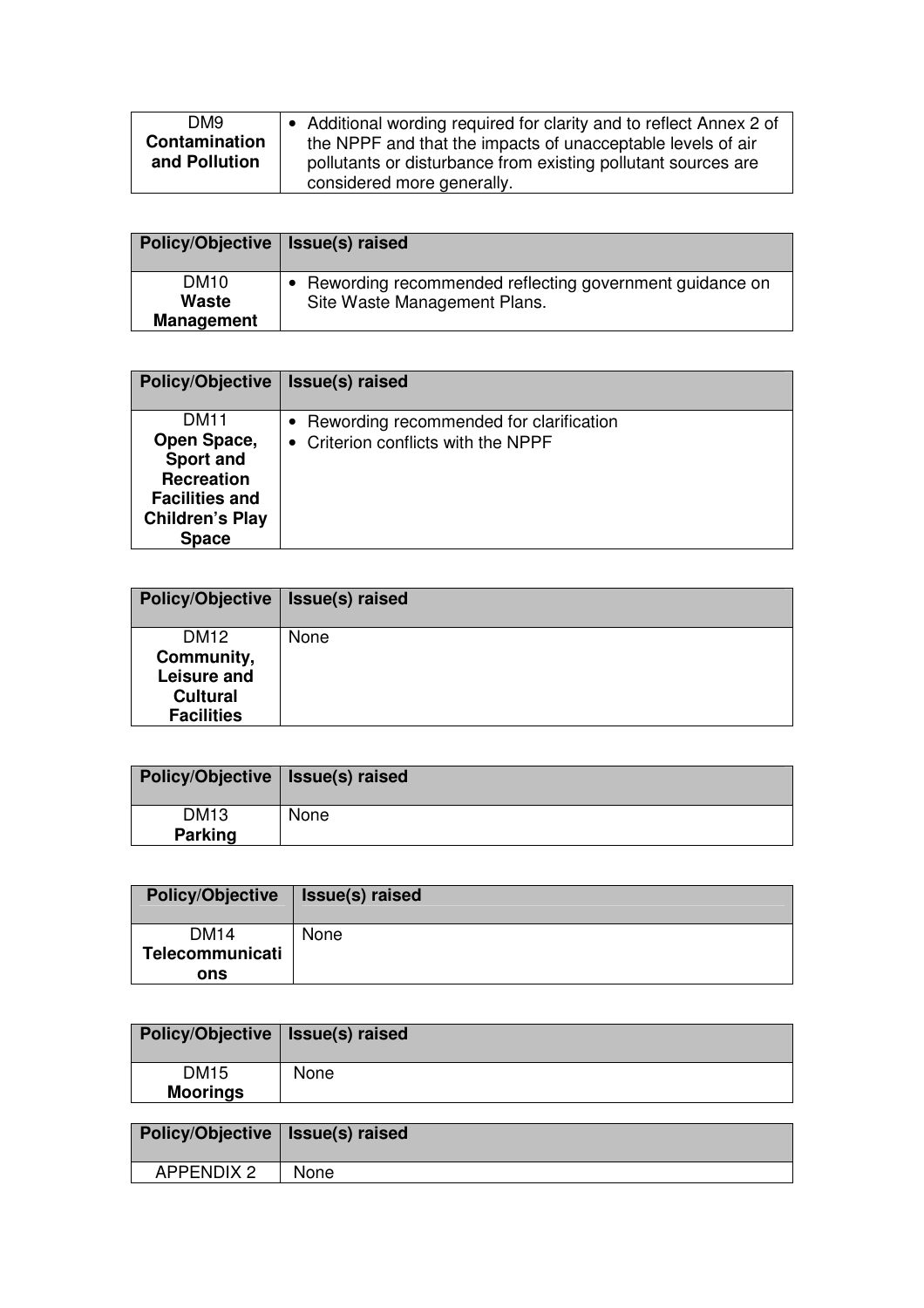| DM9           | • Additional wording required for clarity and to reflect Annex 2 of |
|---------------|---------------------------------------------------------------------|
| Contamination | the NPPF and that the impacts of unacceptable levels of air         |
| and Pollution | pollutants or disturbance from existing pollutant sources are       |
|               | considered more generally.                                          |

| Policy/Objective   Issue(s) raised        |                                                                                         |
|-------------------------------------------|-----------------------------------------------------------------------------------------|
| <b>DM10</b><br>Waste<br><b>Management</b> | Rewording recommended reflecting government guidance on<br>Site Waste Management Plans. |

| <b>Policy/Objective</b>                                                                                                                | Issue(s) raised                                                                  |
|----------------------------------------------------------------------------------------------------------------------------------------|----------------------------------------------------------------------------------|
| <b>DM11</b><br>Open Space,<br><b>Sport and</b><br><b>Recreation</b><br><b>Facilities and</b><br><b>Children's Play</b><br><b>Space</b> | • Rewording recommended for clarification<br>• Criterion conflicts with the NPPF |

| <b>Policy/Objective</b>                                                               | Issue(s) raised |
|---------------------------------------------------------------------------------------|-----------------|
| DM <sub>12</sub><br>Community,<br>Leisure and<br><b>Cultural</b><br><b>Facilities</b> | None            |

| Policy/Objective   Issue(s) raised |      |
|------------------------------------|------|
| <b>DM13</b>                        | None |
| <b>Parking</b>                     |      |

| <b>Policy/Objective</b> | Issue(s) raised |
|-------------------------|-----------------|
| <b>DM14</b>             | None            |
| Telecommunicati         |                 |
| ons                     |                 |

| Policy/Objective   Issue(s) raised |      |
|------------------------------------|------|
| <b>DM15</b><br><b>Moorings</b>     | None |

| Policy/Objective   Issue(s) raised |             |
|------------------------------------|-------------|
| <b>APPENDIX 2</b>                  | <b>None</b> |